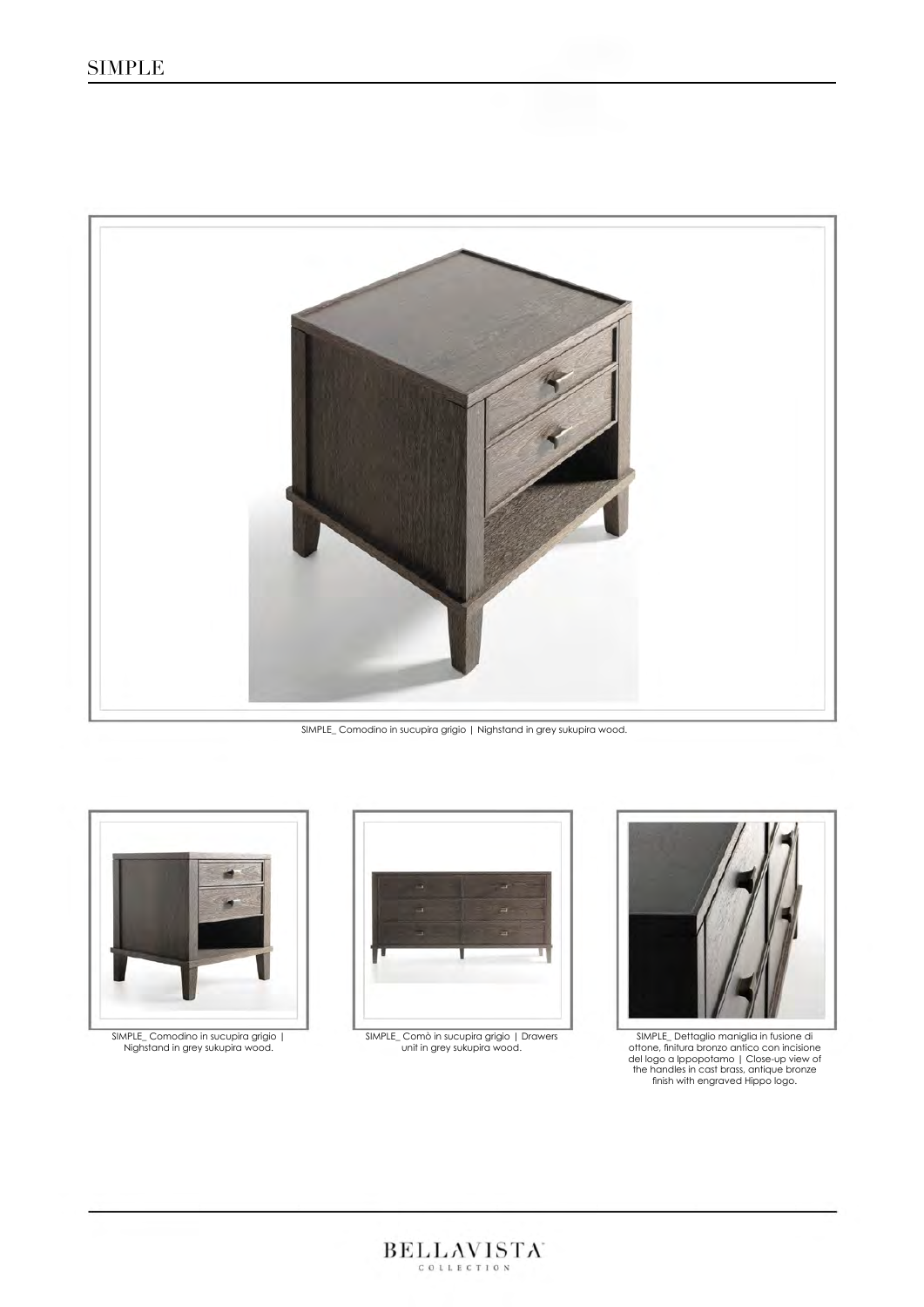

SIMPLE\_ Comodino in sucupira grigio | Nighstand in grey sukupira wood.



SIMPLE\_ Comodino in sucupira grigio | Nighstand in grey sukupira wood.



SIMPLE\_ Comò in sucupira grigio | Drawers unit in grey sukupira wood.



SIMPLE\_ Dettaglio maniglia in fusione di ottone, finitura bronzo antico con incisione del logo a Ippopotamo | Close-up view of the handles in cast brass, antique bronze finish with engraved Hippo logo.